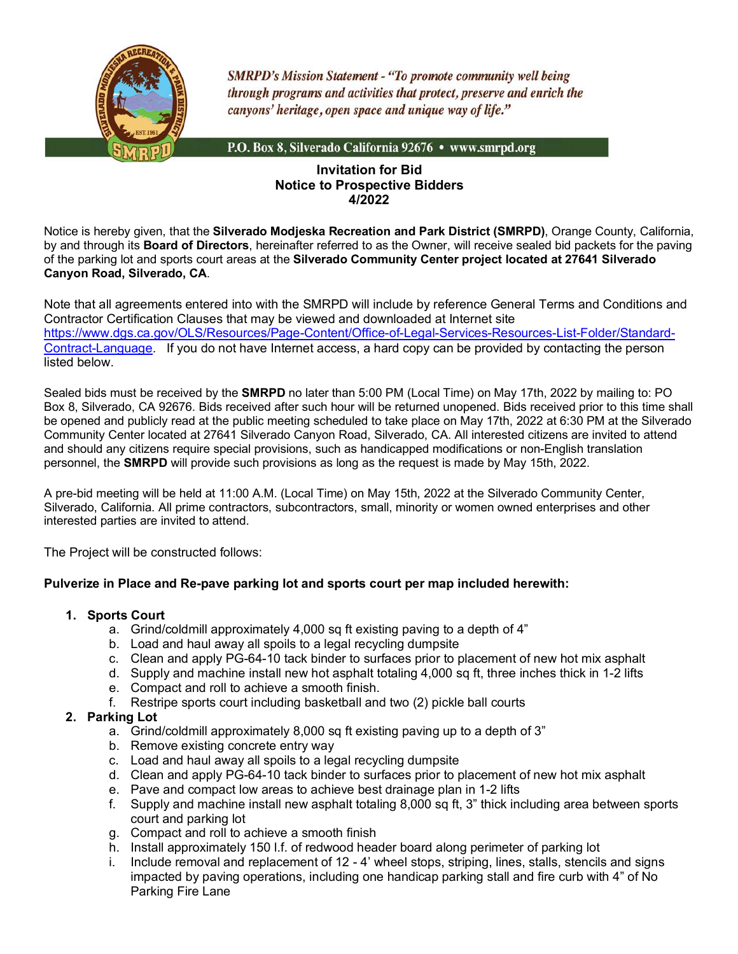

**SMRPD's Mission Statement - "To promote community well being** through programs and activities that protect, preserve and enrich the canyons' heritage, open space and unique way of life."

P.O. Box 8, Silverado California 92676 • www.smrpd.org

# **Invitation for Bid Notice to Prospective Bidders 4/2022**

Notice is hereby given, that the **Silverado Modjeska Recreation and Park District (SMRPD)**, Orange County, California, by and through its **Board of Directors**, hereinafter referred to as the Owner, will receive sealed bid packets for the paving of the parking lot and sports court areas at the **Silverado Community Center project located at 27641 Silverado Canyon Road, Silverado, CA**.

Note that all agreements entered into with the SMRPD will include by reference General Terms and Conditions and Contractor Certification Clauses that may be viewed and downloaded at Internet site https://www.dgs.ca.gov/OLS/Resources/Page-Content/Office-of-Legal-Services-Resources-List-Folder/Standard-Contract-Language. If you do not have Internet access, a hard copy can be provided by contacting the person listed below.

Sealed bids must be received by the **SMRPD** no later than 5:00 PM (Local Time) on May 17th, 2022 by mailing to: PO Box 8, Silverado, CA 92676. Bids received after such hour will be returned unopened. Bids received prior to this time shall be opened and publicly read at the public meeting scheduled to take place on May 17th, 2022 at 6:30 PM at the Silverado Community Center located at 27641 Silverado Canyon Road, Silverado, CA. All interested citizens are invited to attend and should any citizens require special provisions, such as handicapped modifications or non-English translation personnel, the **SMRPD** will provide such provisions as long as the request is made by May 15th, 2022.

A pre-bid meeting will be held at 11:00 A.M. (Local Time) on May 15th, 2022 at the Silverado Community Center, Silverado, California. All prime contractors, subcontractors, small, minority or women owned enterprises and other interested parties are invited to attend.

The Project will be constructed follows:

## **Pulverize in Place and Re-pave parking lot and sports court per map included herewith:**

## **1. Sports Court**

- a. Grind/coldmill approximately 4,000 sq ft existing paving to a depth of 4"
- b. Load and haul away all spoils to a legal recycling dumpsite
- c. Clean and apply PG-64-10 tack binder to surfaces prior to placement of new hot mix asphalt
- d. Supply and machine install new hot asphalt totaling 4,000 sq ft, three inches thick in 1-2 lifts
- e. Compact and roll to achieve a smooth finish.
- f. Restripe sports court including basketball and two (2) pickle ball courts

## **2. Parking Lot**

- a. Grind/coldmill approximately 8,000 sq ft existing paving up to a depth of 3"
- b. Remove existing concrete entry way
- c. Load and haul away all spoils to a legal recycling dumpsite
- d. Clean and apply PG-64-10 tack binder to surfaces prior to placement of new hot mix asphalt
- e. Pave and compact low areas to achieve best drainage plan in 1-2 lifts
- f. Supply and machine install new asphalt totaling 8,000 sq ft, 3" thick including area between sports court and parking lot
- g. Compact and roll to achieve a smooth finish
- h. Install approximately 150 l.f. of redwood header board along perimeter of parking lot
- i. Include removal and replacement of 12 4' wheel stops, striping, lines, stalls, stencils and signs impacted by paving operations, including one handicap parking stall and fire curb with 4" of No Parking Fire Lane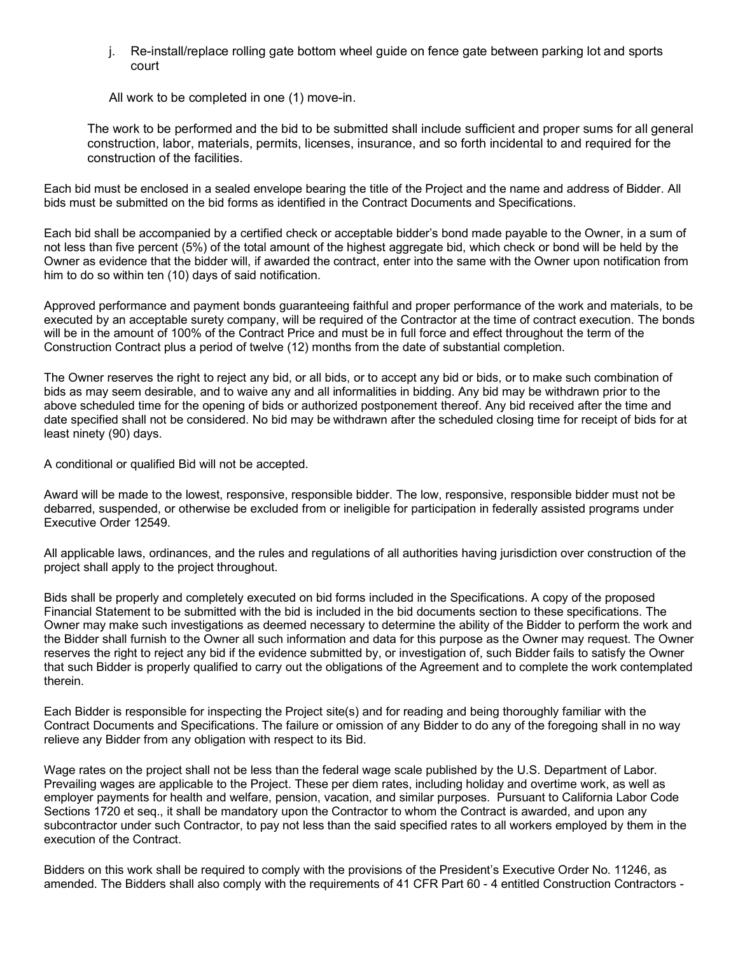j. Re-install/replace rolling gate bottom wheel guide on fence gate between parking lot and sports court

All work to be completed in one (1) move-in.

The work to be performed and the bid to be submitted shall include sufficient and proper sums for all general construction, labor, materials, permits, licenses, insurance, and so forth incidental to and required for the construction of the facilities.

Each bid must be enclosed in a sealed envelope bearing the title of the Project and the name and address of Bidder. All bids must be submitted on the bid forms as identified in the Contract Documents and Specifications.

Each bid shall be accompanied by a certified check or acceptable bidder's bond made payable to the Owner, in a sum of not less than five percent (5%) of the total amount of the highest aggregate bid, which check or bond will be held by the Owner as evidence that the bidder will, if awarded the contract, enter into the same with the Owner upon notification from him to do so within ten (10) days of said notification.

Approved performance and payment bonds guaranteeing faithful and proper performance of the work and materials, to be executed by an acceptable surety company, will be required of the Contractor at the time of contract execution. The bonds will be in the amount of 100% of the Contract Price and must be in full force and effect throughout the term of the Construction Contract plus a period of twelve (12) months from the date of substantial completion.

The Owner reserves the right to reject any bid, or all bids, or to accept any bid or bids, or to make such combination of bids as may seem desirable, and to waive any and all informalities in bidding. Any bid may be withdrawn prior to the above scheduled time for the opening of bids or authorized postponement thereof. Any bid received after the time and date specified shall not be considered. No bid may be withdrawn after the scheduled closing time for receipt of bids for at least ninety (90) days.

A conditional or qualified Bid will not be accepted.

Award will be made to the lowest, responsive, responsible bidder. The low, responsive, responsible bidder must not be debarred, suspended, or otherwise be excluded from or ineligible for participation in federally assisted programs under Executive Order 12549.

All applicable laws, ordinances, and the rules and regulations of all authorities having jurisdiction over construction of the project shall apply to the project throughout.

Bids shall be properly and completely executed on bid forms included in the Specifications. A copy of the proposed Financial Statement to be submitted with the bid is included in the bid documents section to these specifications. The Owner may make such investigations as deemed necessary to determine the ability of the Bidder to perform the work and the Bidder shall furnish to the Owner all such information and data for this purpose as the Owner may request. The Owner reserves the right to reject any bid if the evidence submitted by, or investigation of, such Bidder fails to satisfy the Owner that such Bidder is properly qualified to carry out the obligations of the Agreement and to complete the work contemplated therein.

Each Bidder is responsible for inspecting the Project site(s) and for reading and being thoroughly familiar with the Contract Documents and Specifications. The failure or omission of any Bidder to do any of the foregoing shall in no way relieve any Bidder from any obligation with respect to its Bid.

Wage rates on the project shall not be less than the federal wage scale published by the U.S. Department of Labor. Prevailing wages are applicable to the Project. These per diem rates, including holiday and overtime work, as well as employer payments for health and welfare, pension, vacation, and similar purposes. Pursuant to California Labor Code Sections 1720 et seq., it shall be mandatory upon the Contractor to whom the Contract is awarded, and upon any subcontractor under such Contractor, to pay not less than the said specified rates to all workers employed by them in the execution of the Contract.

Bidders on this work shall be required to comply with the provisions of the President's Executive Order No. 11246, as amended. The Bidders shall also comply with the requirements of 41 CFR Part 60 - 4 entitled Construction Contractors -